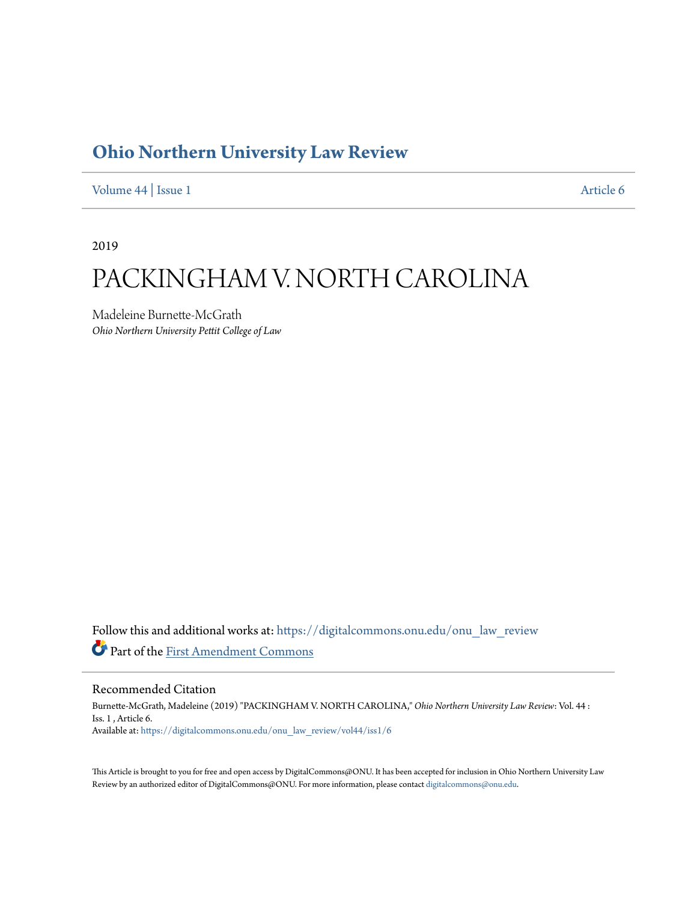# **[Ohio Northern University Law Review](https://digitalcommons.onu.edu/onu_law_review?utm_source=digitalcommons.onu.edu%2Fonu_law_review%2Fvol44%2Fiss1%2F6&utm_medium=PDF&utm_campaign=PDFCoverPages)**

[Volume 44](https://digitalcommons.onu.edu/onu_law_review/vol44?utm_source=digitalcommons.onu.edu%2Fonu_law_review%2Fvol44%2Fiss1%2F6&utm_medium=PDF&utm_campaign=PDFCoverPages) | [Issue 1](https://digitalcommons.onu.edu/onu_law_review/vol44/iss1?utm_source=digitalcommons.onu.edu%2Fonu_law_review%2Fvol44%2Fiss1%2F6&utm_medium=PDF&utm_campaign=PDFCoverPages) [Article 6](https://digitalcommons.onu.edu/onu_law_review/vol44/iss1/6?utm_source=digitalcommons.onu.edu%2Fonu_law_review%2Fvol44%2Fiss1%2F6&utm_medium=PDF&utm_campaign=PDFCoverPages)

2019

# PACKINGHAM V. NORTH CAROLINA

Madeleine Burnette-McGrath *Ohio Northern University Pettit College of Law*

Follow this and additional works at: [https://digitalcommons.onu.edu/onu\\_law\\_review](https://digitalcommons.onu.edu/onu_law_review?utm_source=digitalcommons.onu.edu%2Fonu_law_review%2Fvol44%2Fiss1%2F6&utm_medium=PDF&utm_campaign=PDFCoverPages) Part of the [First Amendment Commons](http://network.bepress.com/hgg/discipline/1115?utm_source=digitalcommons.onu.edu%2Fonu_law_review%2Fvol44%2Fiss1%2F6&utm_medium=PDF&utm_campaign=PDFCoverPages)

# Recommended Citation

Burnette-McGrath, Madeleine (2019) "PACKINGHAM V. NORTH CAROLINA," *Ohio Northern University Law Review*: Vol. 44 : Iss. 1 , Article 6. Available at: [https://digitalcommons.onu.edu/onu\\_law\\_review/vol44/iss1/6](https://digitalcommons.onu.edu/onu_law_review/vol44/iss1/6?utm_source=digitalcommons.onu.edu%2Fonu_law_review%2Fvol44%2Fiss1%2F6&utm_medium=PDF&utm_campaign=PDFCoverPages)

This Article is brought to you for free and open access by DigitalCommons@ONU. It has been accepted for inclusion in Ohio Northern University Law Review by an authorized editor of DigitalCommons@ONU. For more information, please contact [digitalcommons@onu.edu](mailto:digitalcommons@onu.edu).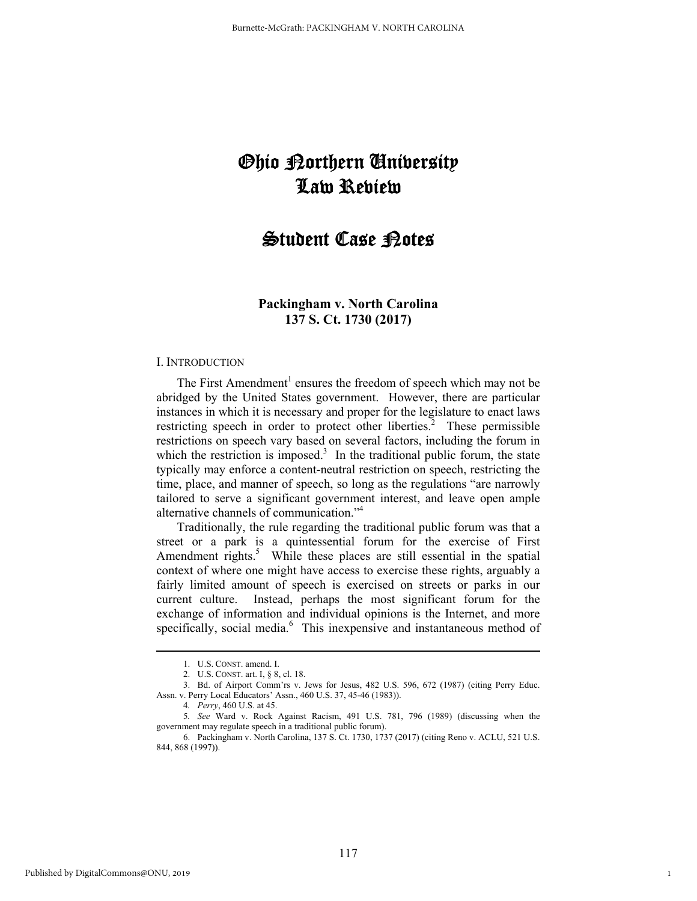# Ohio Northern University Law Review

# Student Case Potes

# **Packingham v. North Carolina 137 S. Ct. 1730 (2017)**

#### I. INTRODUCTION

The First Amendment<sup>1</sup> ensures the freedom of speech which may not be abridged by the United States government. However, there are particular instances in which it is necessary and proper for the legislature to enact laws restricting speech in order to protect other liberties.<sup>2</sup> These permissible restrictions on speech vary based on several factors, including the forum in which the restriction is imposed.<sup>3</sup> In the traditional public forum, the state typically may enforce a content-neutral restriction on speech, restricting the time, place, and manner of speech, so long as the regulations "are narrowly tailored to serve a significant government interest, and leave open ample alternative channels of communication."4

Traditionally, the rule regarding the traditional public forum was that a street or a park is a quintessential forum for the exercise of First Amendment rights.<sup>5</sup> While these places are still essential in the spatial context of where one might have access to exercise these rights, arguably a fairly limited amount of speech is exercised on streets or parks in our current culture. Instead, perhaps the most significant forum for the exchange of information and individual opinions is the Internet, and more specifically, social media.<sup>6</sup> This inexpensive and instantaneous method of

1

 <sup>1.</sup> U.S. CONST. amend. I.

 <sup>2.</sup> U.S. CONST. art. I, § 8, cl. 18.

 <sup>3.</sup> Bd. of Airport Comm'rs v. Jews for Jesus, 482 U.S. 596, 672 (1987) (citing Perry Educ. Assn. v. Perry Local Educators' Assn., 460 U.S. 37, 45-46 (1983)).

<sup>4</sup>*. Perry*, 460 U.S. at 45.

<sup>5</sup>*. See* Ward v. Rock Against Racism, 491 U.S. 781, 796 (1989) (discussing when the government may regulate speech in a traditional public forum).

 <sup>6.</sup> Packingham v. North Carolina, 137 S. Ct. 1730, 1737 (2017) (citing Reno v. ACLU, 521 U.S. 844, 868 (1997)).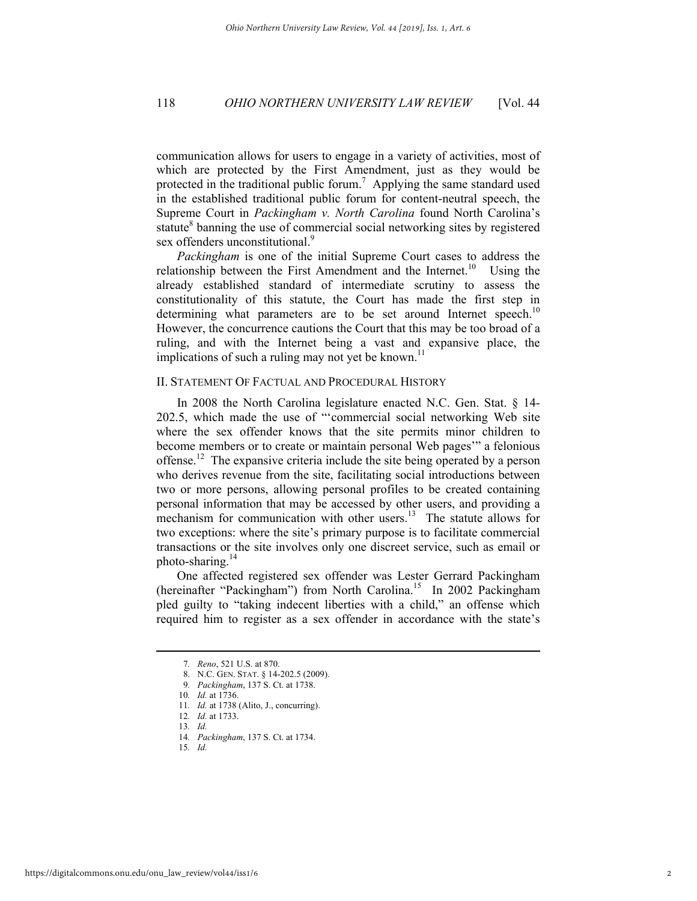communication allows for users to engage in a variety of activities, most of which are protected by the First Amendment, just as they would be protected in the traditional public forum.<sup>7</sup> Applying the same standard used in the established traditional public forum for content-neutral speech, the Supreme Court in *Packingham v. North Carolina* found North Carolina's statute<sup>8</sup> banning the use of commercial social networking sites by registered sex offenders unconstitutional.<sup>9</sup>

*Packingham* is one of the initial Supreme Court cases to address the relationship between the First Amendment and the Internet.<sup>10</sup> Using the already established standard of intermediate scrutiny to assess the constitutionality of this statute, the Court has made the first step in determining what parameters are to be set around Internet speech.<sup>10</sup> However, the concurrence cautions the Court that this may be too broad of a ruling, and with the Internet being a vast and expansive place, the implications of such a ruling may not yet be known.<sup>11</sup>

### II. STATEMENT OF FACTUAL AND PROCEDURAL HISTORY

In 2008 the North Carolina legislature enacted N.C. Gen. Stat. § 14- 202.5, which made the use of "'commercial social networking Web site where the sex offender knows that the site permits minor children to become members or to create or maintain personal Web pages'" a felonious offense.<sup>12</sup> The expansive criteria include the site being operated by a person who derives revenue from the site, facilitating social introductions between two or more persons, allowing personal profiles to be created containing personal information that may be accessed by other users, and providing a mechanism for communication with other users.<sup>13</sup> The statute allows for two exceptions: where the site's primary purpose is to facilitate commercial transactions or the site involves only one discreet service, such as email or photo-sharing. $^{14}$ 

One affected registered sex offender was Lester Gerrard Packingham (hereinafter "Packingham") from North Carolina.<sup>15</sup> In 2002 Packingham pled guilty to "taking indecent liberties with a child," an offense which required him to register as a sex offender in accordance with the state's

<sup>7</sup>*. Reno*, 521 U.S. at 870.

 <sup>8.</sup> N.C. GEN. STAT. § 14-202.5 (2009).

<sup>9</sup>*. Packingham*, 137 S. Ct. at 1738.

<sup>10</sup>*. Id.* at 1736.

<sup>11</sup>*. Id.* at 1738 (Alito, J., concurring).

<sup>12</sup>*. Id.* at 1733.

<sup>13</sup>*. Id.*

<sup>14</sup>*. Packingham*, 137 S. Ct. at 1734.

<sup>15</sup>*. Id.*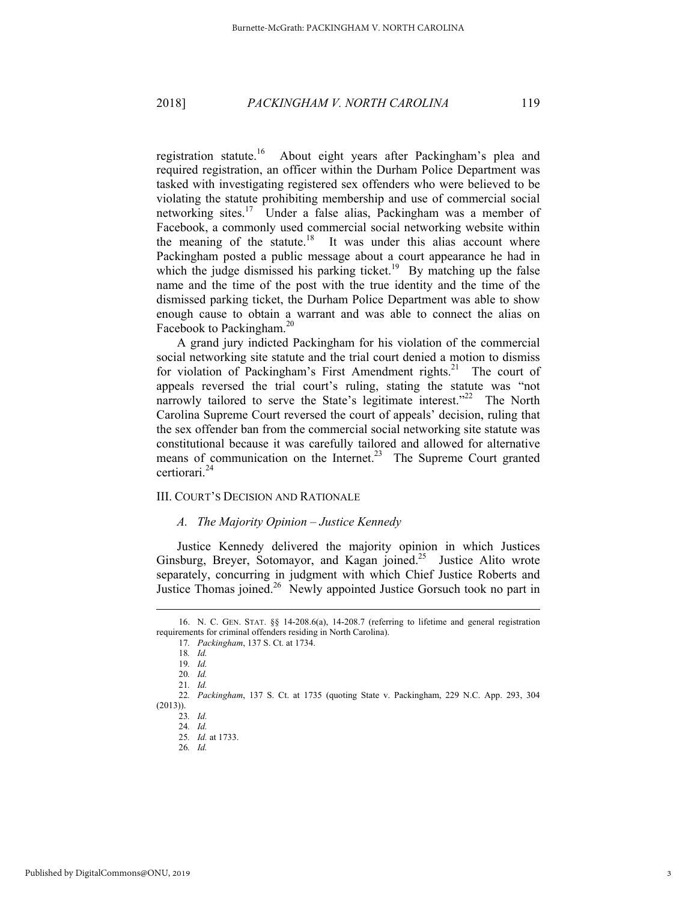registration statute.<sup>16</sup> About eight years after Packingham's plea and required registration, an officer within the Durham Police Department was tasked with investigating registered sex offenders who were believed to be violating the statute prohibiting membership and use of commercial social networking sites.17 Under a false alias, Packingham was a member of Facebook, a commonly used commercial social networking website within the meaning of the statute.<sup>18</sup> It was under this alias account where Packingham posted a public message about a court appearance he had in which the judge dismissed his parking ticket.<sup>19</sup> By matching up the false name and the time of the post with the true identity and the time of the dismissed parking ticket, the Durham Police Department was able to show enough cause to obtain a warrant and was able to connect the alias on Facebook to Packingham.<sup>20</sup>

A grand jury indicted Packingham for his violation of the commercial social networking site statute and the trial court denied a motion to dismiss for violation of Packingham's First Amendment rights.<sup>21</sup> The court of appeals reversed the trial court's ruling, stating the statute was "not narrowly tailored to serve the State's legitimate interest."<sup>22</sup> The North Carolina Supreme Court reversed the court of appeals' decision, ruling that the sex offender ban from the commercial social networking site statute was constitutional because it was carefully tailored and allowed for alternative means of communication on the Internet.<sup>23</sup> The Supreme Court granted certiorari.<sup>24</sup>

### III. COURT'S DECISION AND RATIONALE

#### *A. The Majority Opinion – Justice Kennedy*

Justice Kennedy delivered the majority opinion in which Justices Ginsburg, Breyer, Sotomayor, and Kagan joined.<sup>25</sup> Justice Alito wrote separately, concurring in judgment with which Chief Justice Roberts and Justice Thomas joined.<sup>26</sup> Newly appointed Justice Gorsuch took no part in

 <sup>16.</sup> N. C. GEN. STAT. §§ 14-208.6(a), 14-208.7 (referring to lifetime and general registration requirements for criminal offenders residing in North Carolina).

<sup>17</sup>*. Packingham*, 137 S. Ct. at 1734.

<sup>18</sup>*. Id.*

<sup>19</sup>*. Id.*

<sup>20</sup>*. Id.*

<sup>21</sup>*. Id.*

<sup>22</sup>*. Packingham*, 137 S. Ct. at 1735 (quoting State v. Packingham, 229 N.C. App. 293, 304  $(2013)$ ).

<sup>23</sup>*. Id.* 

<sup>24</sup>*. Id.* 25*. Id.* at 1733.

<sup>26</sup>*. Id.*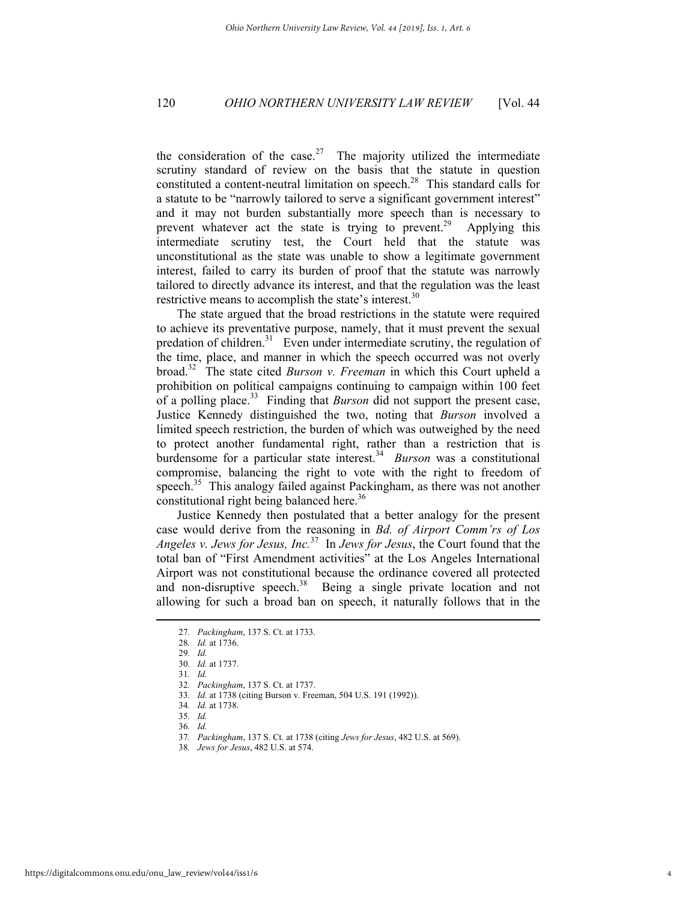the consideration of the case.<sup>27</sup> The majority utilized the intermediate scrutiny standard of review on the basis that the statute in question constituted a content-neutral limitation on speech.<sup>28</sup> This standard calls for a statute to be "narrowly tailored to serve a significant government interest" and it may not burden substantially more speech than is necessary to prevent whatever act the state is trying to prevent.<sup>29</sup> Applying this intermediate scrutiny test, the Court held that the statute was unconstitutional as the state was unable to show a legitimate government interest, failed to carry its burden of proof that the statute was narrowly tailored to directly advance its interest, and that the regulation was the least restrictive means to accomplish the state's interest.<sup>30</sup>

The state argued that the broad restrictions in the statute were required to achieve its preventative purpose, namely, that it must prevent the sexual predation of children.<sup>31</sup> Even under intermediate scrutiny, the regulation of the time, place, and manner in which the speech occurred was not overly broad.32 The state cited *Burson v. Freeman* in which this Court upheld a prohibition on political campaigns continuing to campaign within 100 feet of a polling place.<sup>33</sup> Finding that *Burson* did not support the present case, Justice Kennedy distinguished the two, noting that *Burson* involved a limited speech restriction, the burden of which was outweighed by the need to protect another fundamental right, rather than a restriction that is burdensome for a particular state interest.<sup>34</sup> *Burson* was a constitutional compromise, balancing the right to vote with the right to freedom of speech.<sup>35</sup> This analogy failed against Packingham, as there was not another constitutional right being balanced here.<sup>36</sup>

Justice Kennedy then postulated that a better analogy for the present case would derive from the reasoning in *Bd. of Airport Comm'rs of Los Angeles v. Jews for Jesus, Inc.*37 In *Jews for Jesus*, the Court found that the total ban of "First Amendment activities" at the Los Angeles International Airport was not constitutional because the ordinance covered all protected and non-disruptive speech.<sup>38</sup> Being a single private location and not allowing for such a broad ban on speech, it naturally follows that in the

32*. Packingham*, 137 S. Ct. at 1737.

<sup>27</sup>*. Packingham*, 137 S. Ct. at 1733.

<sup>28</sup>*. Id.* at 1736. 29*. Id.*

<sup>30</sup>*. Id.* at 1737.

<sup>31</sup>*. Id.*

<sup>33</sup>*. Id.* at 1738 (citing Burson v. Freeman, 504 U.S. 191 (1992)).

<sup>34</sup>*. Id.* at 1738.

<sup>35</sup>*. Id.*

<sup>36</sup>*. Id.*

<sup>37</sup>*. Packingham*, 137 S. Ct. at 1738 (citing *Jews for Jesus*, 482 U.S. at 569).

<sup>38</sup>*. Jews for Jesus*, 482 U.S. at 574.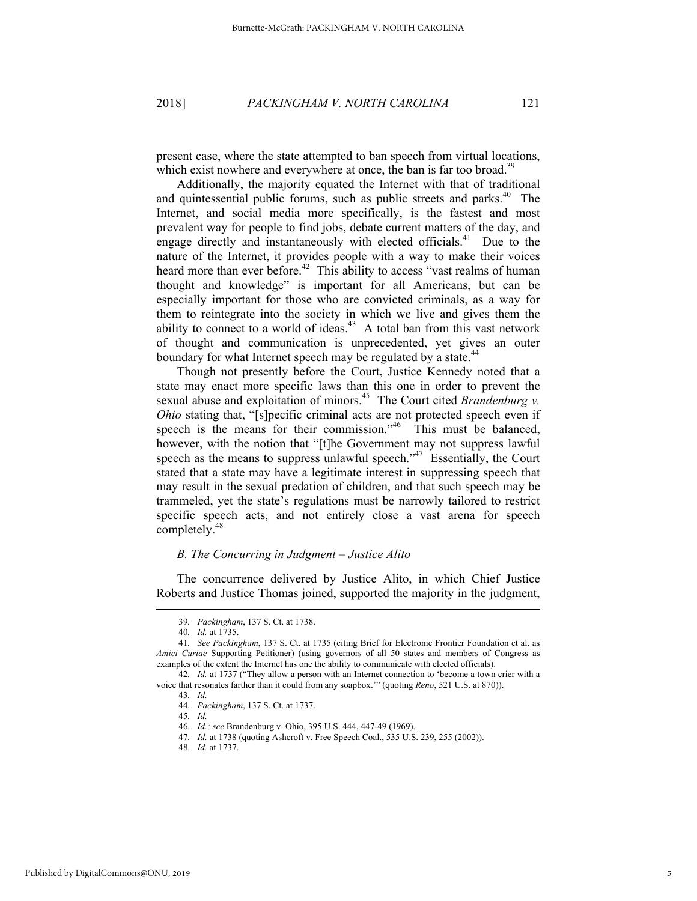present case, where the state attempted to ban speech from virtual locations, which exist nowhere and everywhere at once, the ban is far too broad.<sup>39</sup>

Additionally, the majority equated the Internet with that of traditional and quintessential public forums, such as public streets and parks. $40$  The Internet, and social media more specifically, is the fastest and most prevalent way for people to find jobs, debate current matters of the day, and engage directly and instantaneously with elected officials.<sup>41</sup> Due to the nature of the Internet, it provides people with a way to make their voices heard more than ever before.<sup>42</sup> This ability to access "vast realms of human thought and knowledge" is important for all Americans, but can be especially important for those who are convicted criminals, as a way for them to reintegrate into the society in which we live and gives them the ability to connect to a world of ideas.<sup>43</sup> A total ban from this vast network of thought and communication is unprecedented, yet gives an outer boundary for what Internet speech may be regulated by a state.<sup>44</sup>

Though not presently before the Court, Justice Kennedy noted that a state may enact more specific laws than this one in order to prevent the sexual abuse and exploitation of minors.<sup>45</sup> The Court cited *Brandenburg v*. *Ohio* stating that, "[s]pecific criminal acts are not protected speech even if speech is the means for their commission."<sup>46</sup> This must be balanced, however, with the notion that "[t]he Government may not suppress lawful speech as the means to suppress unlawful speech."<sup>47</sup> Essentially, the Court stated that a state may have a legitimate interest in suppressing speech that may result in the sexual predation of children, and that such speech may be trammeled, yet the state's regulations must be narrowly tailored to restrict specific speech acts, and not entirely close a vast arena for speech completely.<sup>48</sup>

#### *B. The Concurring in Judgment – Justice Alito*

The concurrence delivered by Justice Alito, in which Chief Justice Roberts and Justice Thomas joined, supported the majority in the judgment,

<sup>39</sup>*. Packingham*, 137 S. Ct. at 1738.

<sup>40</sup>*. Id.* at 1735.

<sup>41</sup>*. See Packingham*, 137 S. Ct. at 1735 (citing Brief for Electronic Frontier Foundation et al. as *Amici Curiae* Supporting Petitioner) (using governors of all 50 states and members of Congress as examples of the extent the Internet has one the ability to communicate with elected officials).

<sup>42</sup>*. Id.* at 1737 ("They allow a person with an Internet connection to 'become a town crier with a voice that resonates farther than it could from any soapbox.'" (quoting *Reno*, 521 U.S. at 870)).

<sup>43</sup>*. Id.*

<sup>44</sup>*. Packingham*, 137 S. Ct. at 1737.

<sup>45</sup>*. Id.*

<sup>46</sup>*. Id.; see* Brandenburg v. Ohio, 395 U.S. 444, 447-49 (1969).

<sup>47</sup>*. Id.* at 1738 (quoting Ashcroft v. Free Speech Coal., 535 U.S. 239, 255 (2002)).

<sup>48</sup>*. Id.* at 1737.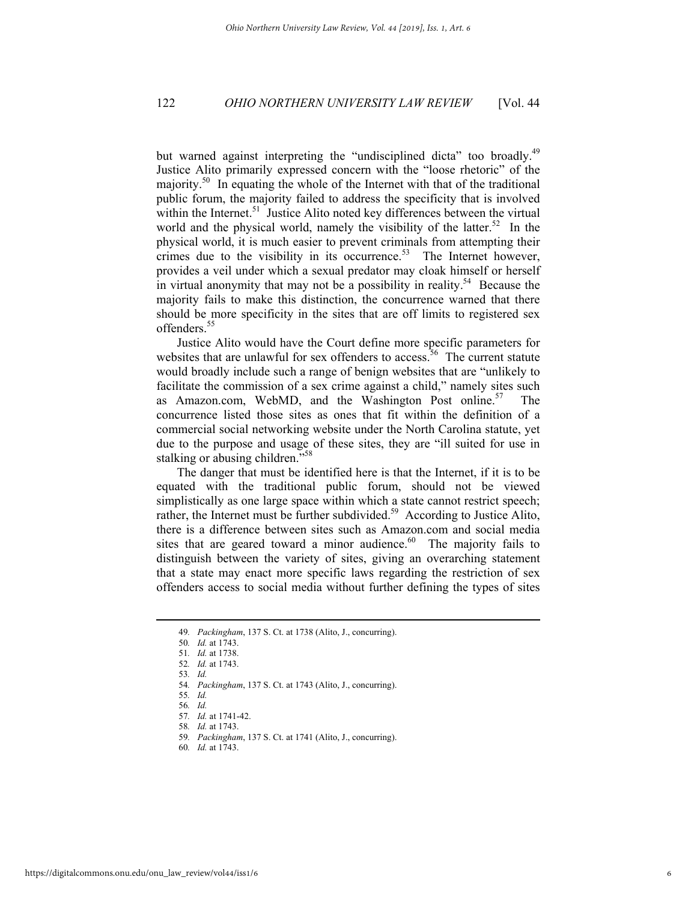but warned against interpreting the "undisciplined dicta" too broadly.<sup>49</sup> Justice Alito primarily expressed concern with the "loose rhetoric" of the majority.<sup>50</sup> In equating the whole of the Internet with that of the traditional public forum, the majority failed to address the specificity that is involved within the Internet.<sup>51</sup> Justice Alito noted key differences between the virtual world and the physical world, namely the visibility of the latter.<sup>52</sup> In the physical world, it is much easier to prevent criminals from attempting their crimes due to the visibility in its occurrence.<sup>53</sup> The Internet however, provides a veil under which a sexual predator may cloak himself or herself in virtual anonymity that may not be a possibility in reality.<sup>54</sup> Because the majority fails to make this distinction, the concurrence warned that there should be more specificity in the sites that are off limits to registered sex offenders.<sup>55</sup>

Justice Alito would have the Court define more specific parameters for websites that are unlawful for sex offenders to access.<sup>56</sup> The current statute would broadly include such a range of benign websites that are "unlikely to facilitate the commission of a sex crime against a child," namely sites such as Amazon.com, WebMD, and the Washington Post online. $57$ concurrence listed those sites as ones that fit within the definition of a commercial social networking website under the North Carolina statute, yet due to the purpose and usage of these sites, they are "ill suited for use in stalking or abusing children."<sup>58</sup>

The danger that must be identified here is that the Internet, if it is to be equated with the traditional public forum, should not be viewed simplistically as one large space within which a state cannot restrict speech; rather, the Internet must be further subdivided.<sup>59</sup> According to Justice Alito, there is a difference between sites such as Amazon.com and social media sites that are geared toward a minor audience. $60$  The majority fails to distinguish between the variety of sites, giving an overarching statement that a state may enact more specific laws regarding the restriction of sex offenders access to social media without further defining the types of sites

<sup>49</sup>*. Packingham*, 137 S. Ct. at 1738 (Alito, J., concurring).

<sup>50</sup>*. Id.* at 1743.

<sup>51</sup>*. Id.* at 1738.

<sup>52</sup>*. Id.* at 1743.

<sup>53</sup>*. Id.*

<sup>54</sup>*. Packingham*, 137 S. Ct. at 1743 (Alito, J., concurring).

<sup>55</sup>*. Id.*

<sup>56</sup>*. Id.*

<sup>57</sup>*. Id.* at 1741-42. 58*. Id.* at 1743.

<sup>59</sup>*. Packingham*, 137 S. Ct. at 1741 (Alito, J., concurring).

<sup>60</sup>*. Id.* at 1743.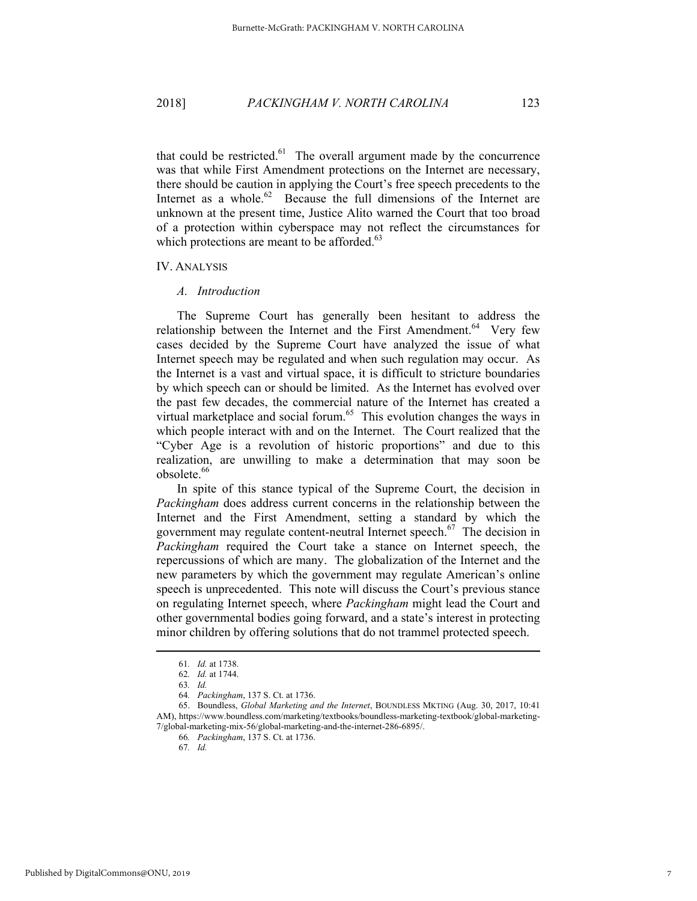that could be restricted. $61$  The overall argument made by the concurrence was that while First Amendment protections on the Internet are necessary, there should be caution in applying the Court's free speech precedents to the Internet as a whole. $62$  Because the full dimensions of the Internet are unknown at the present time, Justice Alito warned the Court that too broad of a protection within cyberspace may not reflect the circumstances for which protections are meant to be afforded.<sup>63</sup>

#### IV. ANALYSIS

#### *A. Introduction*

The Supreme Court has generally been hesitant to address the relationship between the Internet and the First Amendment.<sup>64</sup> Very few cases decided by the Supreme Court have analyzed the issue of what Internet speech may be regulated and when such regulation may occur. As the Internet is a vast and virtual space, it is difficult to stricture boundaries by which speech can or should be limited. As the Internet has evolved over the past few decades, the commercial nature of the Internet has created a virtual marketplace and social forum.<sup>65</sup> This evolution changes the ways in which people interact with and on the Internet. The Court realized that the "Cyber Age is a revolution of historic proportions" and due to this realization, are unwilling to make a determination that may soon be obsolete.<sup>66</sup>

In spite of this stance typical of the Supreme Court, the decision in *Packingham* does address current concerns in the relationship between the Internet and the First Amendment, setting a standard by which the government may regulate content-neutral Internet speech. $67$  The decision in *Packingham* required the Court take a stance on Internet speech, the repercussions of which are many. The globalization of the Internet and the new parameters by which the government may regulate American's online speech is unprecedented. This note will discuss the Court's previous stance on regulating Internet speech, where *Packingham* might lead the Court and other governmental bodies going forward, and a state's interest in protecting minor children by offering solutions that do not trammel protected speech.

<sup>61</sup>*. Id.* at 1738.

<sup>62</sup>*. Id.* at 1744.

<sup>63</sup>*. Id.*

<sup>64</sup>*. Packingham*, 137 S. Ct. at 1736.

 <sup>65.</sup> Boundless, *Global Marketing and the Internet*, BOUNDLESS MKTING (Aug. 30, 2017, 10:41 AM), https://www.boundless.com/marketing/textbooks/boundless-marketing-textbook/global-marketing-7/global-marketing-mix-56/global-marketing-and-the-internet-286-6895/.

<sup>66</sup>*. Packingham*, 137 S. Ct. at 1736.

<sup>67</sup>*. Id.*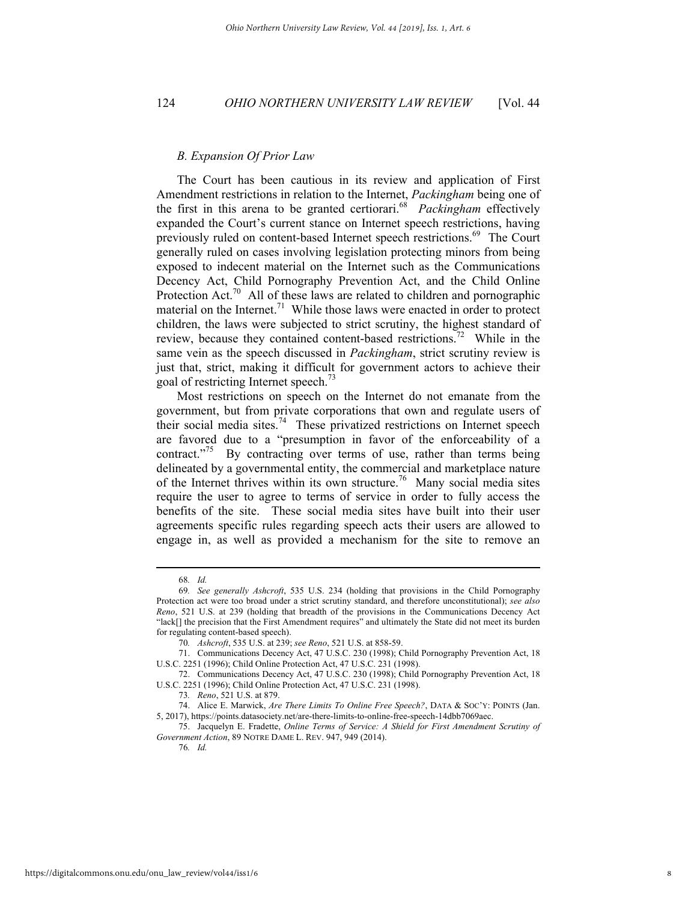#### *B. Expansion Of Prior Law*

The Court has been cautious in its review and application of First Amendment restrictions in relation to the Internet, *Packingham* being one of the first in this arena to be granted certiorari.<sup>68</sup> *Packingham* effectively expanded the Court's current stance on Internet speech restrictions, having previously ruled on content-based Internet speech restrictions.<sup>69</sup> The Court generally ruled on cases involving legislation protecting minors from being exposed to indecent material on the Internet such as the Communications Decency Act, Child Pornography Prevention Act, and the Child Online Protection Act.<sup>70</sup> All of these laws are related to children and pornographic material on the Internet.<sup>71</sup> While those laws were enacted in order to protect children, the laws were subjected to strict scrutiny, the highest standard of review, because they contained content-based restrictions.72 While in the same vein as the speech discussed in *Packingham*, strict scrutiny review is just that, strict, making it difficult for government actors to achieve their goal of restricting Internet speech.73

Most restrictions on speech on the Internet do not emanate from the government, but from private corporations that own and regulate users of their social media sites.<sup>74</sup> These privatized restrictions on Internet speech are favored due to a "presumption in favor of the enforceability of a contract."<sup>75</sup> By contracting over terms of use, rather than terms being delineated by a governmental entity, the commercial and marketplace nature of the Internet thrives within its own structure.<sup>76</sup> Many social media sites require the user to agree to terms of service in order to fully access the benefits of the site. These social media sites have built into their user agreements specific rules regarding speech acts their users are allowed to engage in, as well as provided a mechanism for the site to remove an

<sup>68</sup>*. Id.*

<sup>69</sup>*. See generally Ashcroft*, 535 U.S. 234 (holding that provisions in the Child Pornography Protection act were too broad under a strict scrutiny standard, and therefore unconstitutional); *see also Reno*, 521 U.S. at 239 (holding that breadth of the provisions in the Communications Decency Act "lack[] the precision that the First Amendment requires" and ultimately the State did not meet its burden for regulating content-based speech).

<sup>70</sup>*. Ashcroft*, 535 U.S. at 239; *see Reno*, 521 U.S. at 858-59.

 <sup>71.</sup> Communications Decency Act, 47 U.S.C. 230 (1998); Child Pornography Prevention Act, 18 U.S.C. 2251 (1996); Child Online Protection Act, 47 U.S.C. 231 (1998).

 <sup>72.</sup> Communications Decency Act, 47 U.S.C. 230 (1998); Child Pornography Prevention Act, 18 U.S.C. 2251 (1996); Child Online Protection Act, 47 U.S.C. 231 (1998).

<sup>73</sup>*. Reno*, 521 U.S. at 879.

 <sup>74.</sup> Alice E. Marwick, *Are There Limits To Online Free Speech?*, DATA & SOC'Y: POINTS (Jan. 5, 2017), https://points.datasociety.net/are-there-limits-to-online-free-speech-14dbb7069aec.

 <sup>75.</sup> Jacquelyn E. Fradette, *Online Terms of Service: A Shield for First Amendment Scrutiny of Government Action*, 89 NOTRE DAME L. REV. 947, 949 (2014).

<sup>76</sup>*. Id.*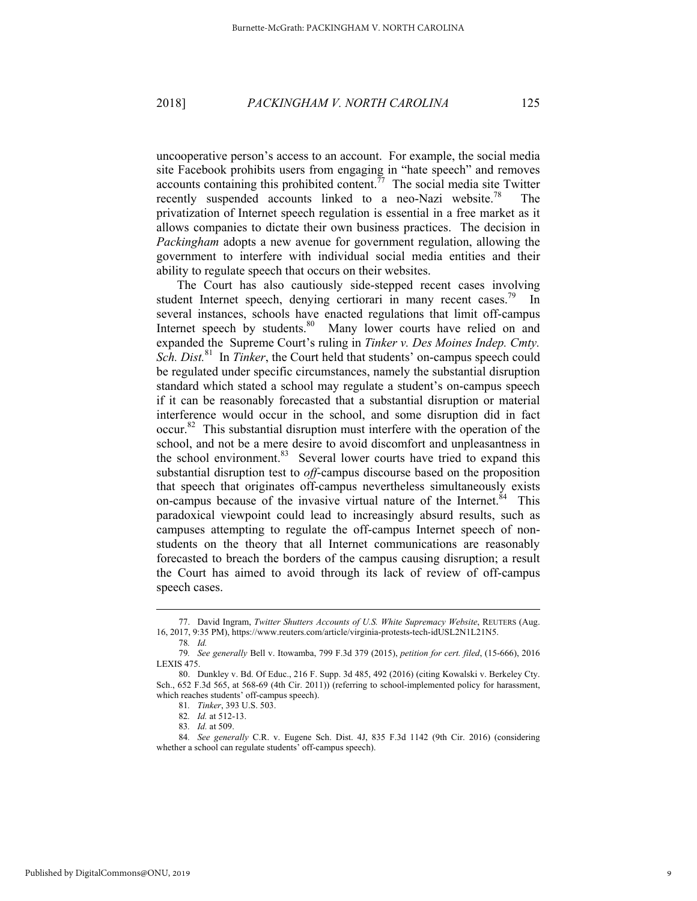uncooperative person's access to an account. For example, the social media site Facebook prohibits users from engaging in "hate speech" and removes accounts containing this prohibited content.<sup>77</sup> The social media site Twitter recently suspended accounts linked to a neo-Nazi website.<sup>78</sup> The privatization of Internet speech regulation is essential in a free market as it allows companies to dictate their own business practices. The decision in *Packingham* adopts a new avenue for government regulation, allowing the government to interfere with individual social media entities and their ability to regulate speech that occurs on their websites.

The Court has also cautiously side-stepped recent cases involving student Internet speech, denying certiorari in many recent cases.<sup>79</sup> In several instances, schools have enacted regulations that limit off-campus Internet speech by students.<sup>80</sup> Many lower courts have relied on and expanded the Supreme Court's ruling in *Tinker v. Des Moines Indep. Cmty. Sch. Dist.*81 In *Tinker*, the Court held that students' on-campus speech could be regulated under specific circumstances, namely the substantial disruption standard which stated a school may regulate a student's on-campus speech if it can be reasonably forecasted that a substantial disruption or material interference would occur in the school, and some disruption did in fact occur.<sup>82</sup> This substantial disruption must interfere with the operation of the school, and not be a mere desire to avoid discomfort and unpleasantness in the school environment. $83$  Several lower courts have tried to expand this substantial disruption test to *off*-campus discourse based on the proposition that speech that originates off-campus nevertheless simultaneously exists on-campus because of the invasive virtual nature of the Internet. $84$  This paradoxical viewpoint could lead to increasingly absurd results, such as campuses attempting to regulate the off-campus Internet speech of nonstudents on the theory that all Internet communications are reasonably forecasted to breach the borders of the campus causing disruption; a result the Court has aimed to avoid through its lack of review of off-campus speech cases.

 <sup>77.</sup> David Ingram, *Twitter Shutters Accounts of U.S. White Supremacy Website*, REUTERS (Aug. 16, 2017, 9:35 PM), https://www.reuters.com/article/virginia-protests-tech-idUSL2N1L21N5.

<sup>78</sup>*. Id.*

<sup>79</sup>*. See generally* Bell v. Itowamba, 799 F.3d 379 (2015), *petition for cert. filed*, (15-666), 2016 LEXIS 475.

 <sup>80.</sup> Dunkley v. Bd. Of Educ., 216 F. Supp. 3d 485, 492 (2016) (citing Kowalski v. Berkeley Cty. Sch., 652 F.3d 565, at 568-69 (4th Cir. 2011)) (referring to school-implemented policy for harassment, which reaches students' off-campus speech).

<sup>81</sup>*. Tinker*, 393 U.S. 503.

<sup>82</sup>*. Id.* at 512-13.

<sup>83</sup>*. Id.* at 509.

<sup>84</sup>*. See generally* C.R. v. Eugene Sch. Dist. 4J, 835 F.3d 1142 (9th Cir. 2016) (considering whether a school can regulate students' off-campus speech).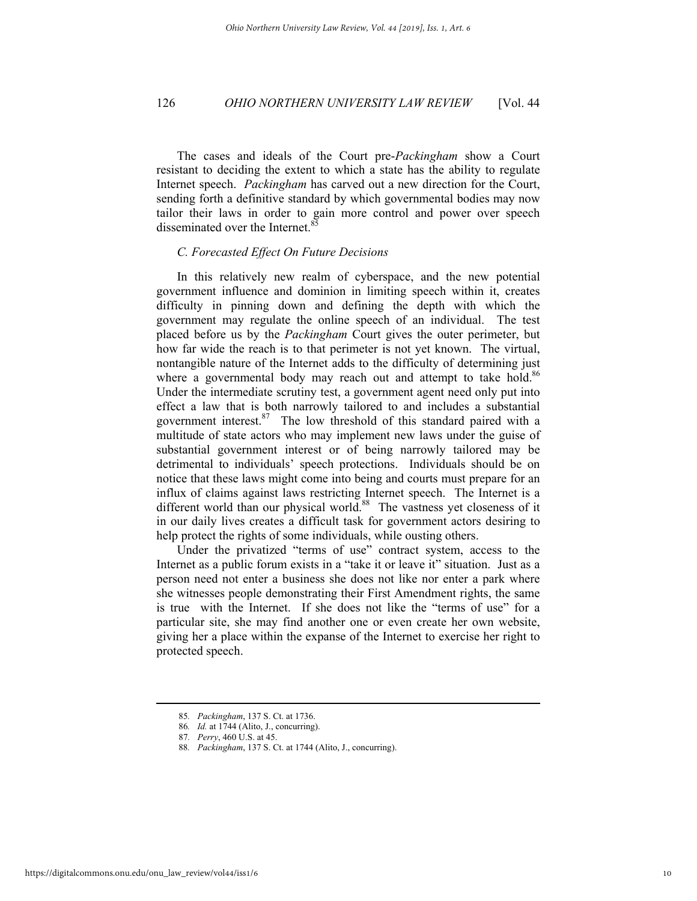The cases and ideals of the Court pre-*Packingham* show a Court resistant to deciding the extent to which a state has the ability to regulate Internet speech. *Packingham* has carved out a new direction for the Court, sending forth a definitive standard by which governmental bodies may now tailor their laws in order to gain more control and power over speech disseminated over the Internet.<sup>8</sup>

### *C. Forecasted Effect On Future Decisions*

In this relatively new realm of cyberspace, and the new potential government influence and dominion in limiting speech within it, creates difficulty in pinning down and defining the depth with which the government may regulate the online speech of an individual. The test placed before us by the *Packingham* Court gives the outer perimeter, but how far wide the reach is to that perimeter is not yet known. The virtual, nontangible nature of the Internet adds to the difficulty of determining just where a governmental body may reach out and attempt to take hold.<sup>86</sup> Under the intermediate scrutiny test, a government agent need only put into effect a law that is both narrowly tailored to and includes a substantial government interest.87 The low threshold of this standard paired with a multitude of state actors who may implement new laws under the guise of substantial government interest or of being narrowly tailored may be detrimental to individuals' speech protections. Individuals should be on notice that these laws might come into being and courts must prepare for an influx of claims against laws restricting Internet speech. The Internet is a different world than our physical world.<sup>88</sup> The vastness yet closeness of it in our daily lives creates a difficult task for government actors desiring to help protect the rights of some individuals, while ousting others.

Under the privatized "terms of use" contract system, access to the Internet as a public forum exists in a "take it or leave it" situation. Just as a person need not enter a business she does not like nor enter a park where she witnesses people demonstrating their First Amendment rights, the same is true with the Internet. If she does not like the "terms of use" for a particular site, she may find another one or even create her own website, giving her a place within the expanse of the Internet to exercise her right to protected speech.

<sup>85</sup>*. Packingham*, 137 S. Ct. at 1736.

<sup>86</sup>*. Id.* at 1744 (Alito, J., concurring).

<sup>87</sup>*. Perry*, 460 U.S. at 45.

<sup>88</sup>*. Packingham*, 137 S. Ct. at 1744 (Alito, J., concurring).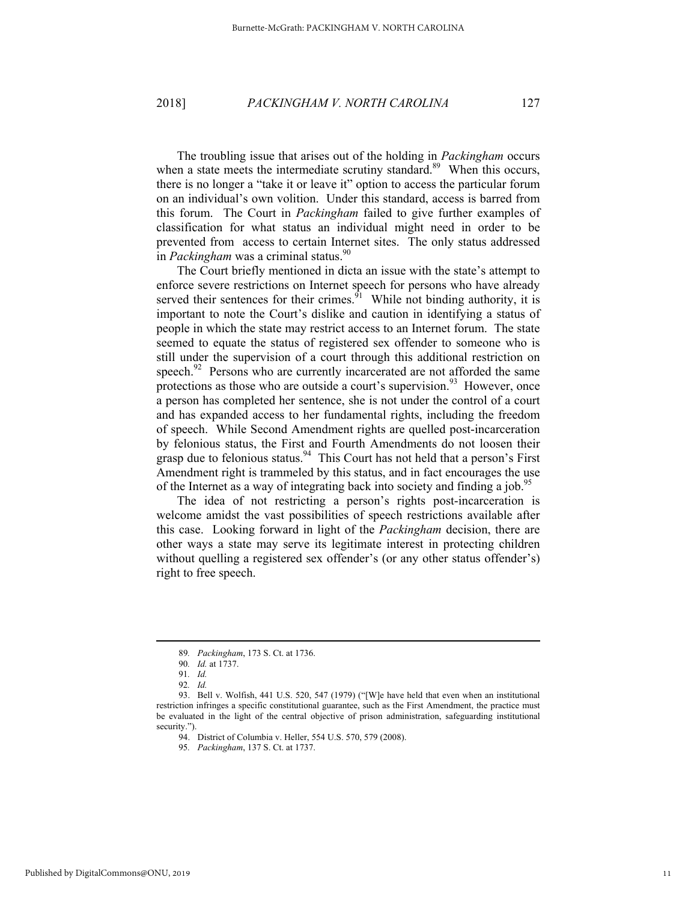The troubling issue that arises out of the holding in *Packingham* occurs when a state meets the intermediate scrutiny standard.<sup>89</sup> When this occurs, there is no longer a "take it or leave it" option to access the particular forum on an individual's own volition. Under this standard, access is barred from this forum. The Court in *Packingham* failed to give further examples of classification for what status an individual might need in order to be prevented from access to certain Internet sites. The only status addressed in *Packingham* was a criminal status.<sup>90</sup>

The Court briefly mentioned in dicta an issue with the state's attempt to enforce severe restrictions on Internet speech for persons who have already served their sentences for their crimes. $\frac{91}{1}$  While not binding authority, it is important to note the Court's dislike and caution in identifying a status of people in which the state may restrict access to an Internet forum. The state seemed to equate the status of registered sex offender to someone who is still under the supervision of a court through this additional restriction on speech.<sup>92</sup> Persons who are currently incarcerated are not afforded the same protections as those who are outside a court's supervision.<sup>93</sup> However, once a person has completed her sentence, she is not under the control of a court and has expanded access to her fundamental rights, including the freedom of speech. While Second Amendment rights are quelled post-incarceration by felonious status, the First and Fourth Amendments do not loosen their grasp due to felonious status.<sup>94</sup> This Court has not held that a person's First Amendment right is trammeled by this status, and in fact encourages the use of the Internet as a way of integrating back into society and finding a job.<sup>95</sup>

The idea of not restricting a person's rights post-incarceration is welcome amidst the vast possibilities of speech restrictions available after this case. Looking forward in light of the *Packingham* decision, there are other ways a state may serve its legitimate interest in protecting children without quelling a registered sex offender's (or any other status offender's) right to free speech.

<sup>89</sup>*. Packingham*, 173 S. Ct. at 1736.

<sup>90</sup>*. Id.* at 1737.

<sup>91</sup>*. Id.*

<sup>92</sup>*. Id.*

 <sup>93.</sup> Bell v. Wolfish, 441 U.S. 520, 547 (1979) ("[W]e have held that even when an institutional restriction infringes a specific constitutional guarantee, such as the First Amendment, the practice must be evaluated in the light of the central objective of prison administration, safeguarding institutional security.").

 <sup>94.</sup> District of Columbia v. Heller, 554 U.S. 570, 579 (2008).

<sup>95</sup>*. Packingham*, 137 S. Ct. at 1737.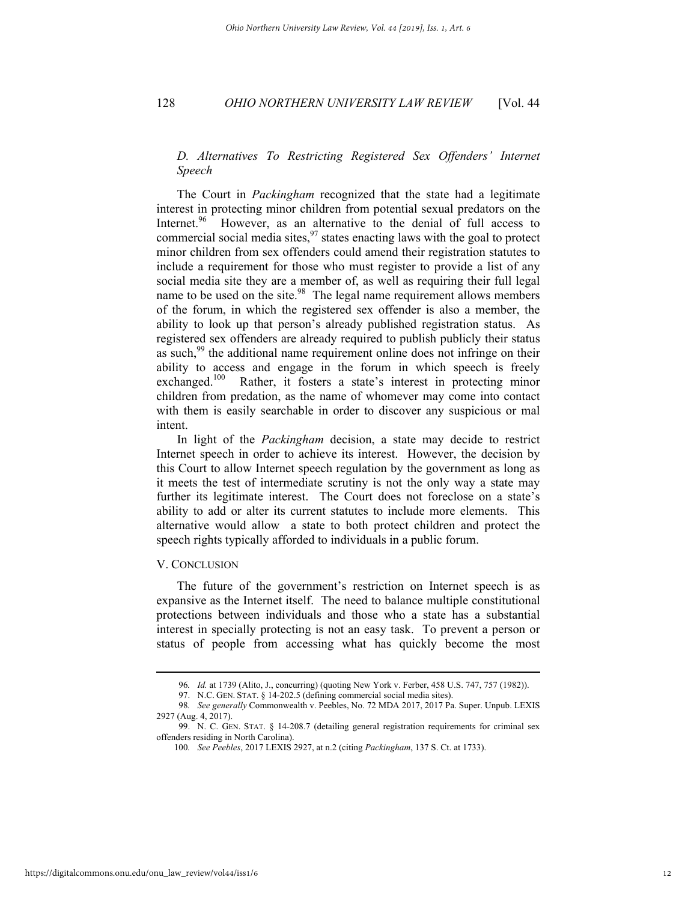# *D. Alternatives To Restricting Registered Sex Offenders' Internet Speech*

The Court in *Packingham* recognized that the state had a legitimate interest in protecting minor children from potential sexual predators on the Internet.<sup>96</sup> However, as an alternative to the denial of full access to commercial social media sites, $97$  states enacting laws with the goal to protect minor children from sex offenders could amend their registration statutes to include a requirement for those who must register to provide a list of any social media site they are a member of, as well as requiring their full legal name to be used on the site.<sup>98</sup> The legal name requirement allows members of the forum, in which the registered sex offender is also a member, the ability to look up that person's already published registration status. As registered sex offenders are already required to publish publicly their status as such, $99$  the additional name requirement online does not infringe on their ability to access and engage in the forum in which speech is freely exchanged.<sup>100</sup> Rather, it fosters a state's interest in protecting minor children from predation, as the name of whomever may come into contact with them is easily searchable in order to discover any suspicious or mal intent.

In light of the *Packingham* decision, a state may decide to restrict Internet speech in order to achieve its interest. However, the decision by this Court to allow Internet speech regulation by the government as long as it meets the test of intermediate scrutiny is not the only way a state may further its legitimate interest. The Court does not foreclose on a state's ability to add or alter its current statutes to include more elements. This alternative would allow a state to both protect children and protect the speech rights typically afforded to individuals in a public forum.

#### V. CONCLUSION

The future of the government's restriction on Internet speech is as expansive as the Internet itself. The need to balance multiple constitutional protections between individuals and those who a state has a substantial interest in specially protecting is not an easy task. To prevent a person or status of people from accessing what has quickly become the most

<sup>96</sup>*. Id.* at 1739 (Alito, J., concurring) (quoting New York v. Ferber, 458 U.S. 747, 757 (1982)).

 <sup>97.</sup> N.C. GEN. STAT. § 14-202.5 (defining commercial social media sites).

<sup>98</sup>*. See generally* Commonwealth v. Peebles, No. 72 MDA 2017, 2017 Pa. Super. Unpub. LEXIS 2927 (Aug. 4, 2017).

 <sup>99.</sup> N. C. GEN. STAT. § 14-208.7 (detailing general registration requirements for criminal sex offenders residing in North Carolina).

<sup>100</sup>*. See Peebles*, 2017 LEXIS 2927, at n.2 (citing *Packingham*, 137 S. Ct. at 1733).